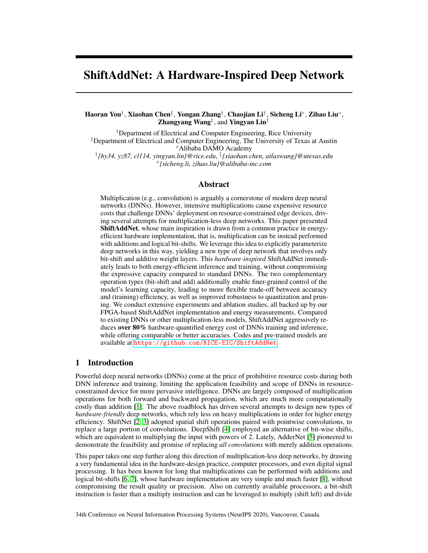# ShiftAddNet: A Hardware-Inspired Deep Network

## Haoran You†, Xiaohan Chen‡, Yongan Zhang†, Chaojian Li†, Sicheng Li°, Zihao Liu°, Zhangyang Wang<sup>‡</sup>, and Yingyan Lin<sup>†</sup>

†Department of Electrical and Computer Engineering, Rice University ‡Department of Electrical and Computer Engineering, The University of Texas at Austin Alibaba DAMO Academy

† *{hy34, yz87, cl114, yingyan.lin}@rice.edu*, ‡ *{xiaohan.chen, atlaswang}@utexas.edu {sicheng.li, zihao.liu}@alibaba-inc.com*

## Abstract

Multiplication (e.g., convolution) is arguably a cornerstone of modern deep neural networks (DNNs). However, intensive multiplications cause expensive resource costs that challenge DNNs' deployment on resource-constrained edge devices, driving several attempts for multiplication-less deep networks. This paper presented ShiftAddNet, whose main inspiration is drawn from a common practice in energyefficient hardware implementation, that is, multiplication can be instead performed with additions and logical bit-shifts. We leverage this idea to explicitly parameterize deep networks in this way, yielding a new type of deep network that involves only bit-shift and additive weight layers. This *hardware-inspired* ShiftAddNet immediately leads to both energy-efficient inference and training, without compromising the expressive capacity compared to standard DNNs. The two complementary operation types (bit-shift and add) additionally enable finer-grained control of the model's learning capacity, leading to more flexible trade-off between accuracy and (training) efficiency, as well as improved robustness to quantization and pruning. We conduct extensive experiments and ablation studies, all backed up by our FPGA-based ShiftAddNet implementation and energy measurements. Compared to existing DNNs or other multiplication-less models, ShiftAddNet aggressively reduces over 80% hardware-quantified energy cost of DNNs training and inference, while offering comparable or better accuracies. Codes and pre-trained models are available at <https://github.com/RICE-EIC/ShiftAddNet>.

# 1 Introduction

Powerful deep neural networks (DNNs) come at the price of prohibitive resource costs during both DNN inference and training, limiting the application feasibility and scope of DNNs in resourceconstrained device for more pervasive intelligence. DNNs are largely composed of multiplication operations for both forward and backward propagation, which are much more computationally costly than addition [\[1\]](#page-9-0). The above roadblock has driven several attempts to design new types of *hardware-friendly* deep networks, which rely less on heavy multiplications in order for higher energy efficiency. ShiftNet [\[2,](#page-9-1) [3\]](#page-9-2) adopted spatial shift operations paired with pointwise convolutions, to replace a large portion of convolutions. DeepShift [\[4\]](#page-9-3) employed an alternative of bit-wise shifts, which are equivalent to multiplying the input with powers of 2. Lately, AdderNet [\[5\]](#page-9-4) pioneered to demonstrate the feasibility and promise of replacing *all convolutions* with merely addition operations.

This paper takes one step further along this direction of multiplication-less deep networks, by drawing a very fundamental idea in the hardware-design practice, computer processors, and even digital signal processing. It has been known for long that multiplications can be performed with additions and logical bit-shifts [\[6,](#page-9-5) [7\]](#page-9-6), whose hardware implementation are very simple and much faster [\[8\]](#page-9-7), without compromising the result quality or precision. Also on currently available processors, a bit-shift instruction is faster than a multiply instruction and can be leveraged to multiply (shift left) and divide

34th Conference on Neural Information Processing Systems (NeurIPS 2020), Vancouver, Canada.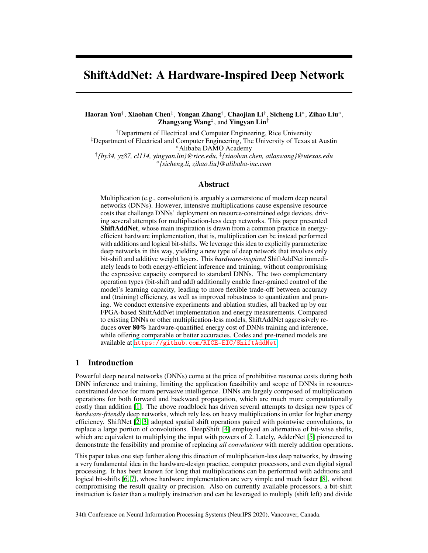(shift right) by powers of two. Multiplication (or division) by a constant is then implemented using a sequence of shifts and adds (or subtracts). The above clever "shortcut" saves arithmetic operations, and can readily be applied to accelerating the hardware implementation of any machine learning algorithm involving multiplication (either scalar, vector, or matrix). But our curiosity is well beyond this: *can we learn from this hardware-level "shortcut" to design efficient learning algorithms?*

The above uniquely motivates our work: in order to be more "hardware-friendly", we strive to re-design our model to be "hardware-inspired", leveraging the successful experience directly form the efficient hardware design community. Specifically, we explicit re-parameterize our deep networks by replacing all convolutional and fully-connected layers (both built on multiplications) with two multiplication-free layers: bit-shift and add. Our new type of deep model, named ShiftAddNet, immediately lead to both energy-efficient inference and training algorithms.

We note that ShiftAddNet seamlessly integrates bit-shift and addition together, with strong motivations that address several pitfalls in prior arts  $[2, 3, 4, 5]$  $[2, 3, 4, 5]$  $[2, 3, 4, 5]$  $[2, 3, 4, 5]$  $[2, 3, 4, 5]$  $[2, 3, 4, 5]$  $[2, 3, 4, 5]$ . Compared to utilizing spatial- or bit-shifts alone [\[2,](#page-9-1) [4\]](#page-9-3), ShiftAddNet can be fully expressive as standard DNNs, while [\[2,](#page-9-1) [4\]](#page-9-3) only approximate the original expressive capacity since shift operations cannot span the entire continuous space of multiplicative mappings (e.g., bit-shifts can only represent the subset of power-of-2 multiplications). Compared to the fully additive model [\[5\]](#page-9-4), we note that while repeated additions can in principle replace any multiplicative mapping, they do so in a very inefficient way. In contrast, by also exploiting bit-shifts, ShiftAddNet is expected to be more parameter-efficient than [\[5\]](#page-9-4) which relies on adding templates. As a bonus, we notice the bit-shift and add operations naturally correspond to coarse- and fine-grained input manipulations. We can exploit this property to more flexibly trade-offs between training efficiency and achievable accuracy, e.g., by freezing all bit-shifts and only training add layers. ShiftAddNet with fixed shift layers can achieve up to 90% and 82.8% energy savings than fully additive models [\[5\]](#page-9-4) and shift models [\[4\]](#page-9-3) under floating-point or fixed-point precisions trainings, while leading to a comparable or better accuracies  $(-3.7\%$   $+31.2\%$  and  $3.5\%$  23.6%), respectively. Our contributions can be summarized as follow:

- Uniquely motivated by the hardware design expertise, we combine two multiplication-less and complementary operations (bit-shift and add) to develop a hardware-inspired network called ShiftAddNet that is fully expressive and ultra-efficient.
- We develop training and inference algorithms for ShiftAddNet. Leveraging the two operations' distinct granularity levels, we also investigate ShiftAddNet trade-offs between training efficiency and achievable accuracy, e.g., by freezing all the bit-shift layers.
- We conduct extensive experiments to compare ShiftAddNet with existing DNNs or multiplicationless models. Results on multiple benchmarks demonstrate its superior compactness, accuracy, training efficiency, and robustness. Specifically, we implement ShiftAddNet on a ZYNQ-7 ZC706 FPGA board [\[9\]](#page-9-8) and collect all real energy measurements for benchmarking.

# 2 Related works

Multiplication-less DNNs. Shrinking the cost-dominate multiplications has been widely considered in many DNN designs for reducing the computational complexity [\[10,](#page-10-0) [11\]](#page-10-1): [\[10\]](#page-10-0) decomposes the convolutions into separate depthwise and pointwise modules which require fewer multiplications; and [\[12,](#page-10-2) [13,](#page-10-3) [14\]](#page-10-4) binarize the weights or activations to construct DNNs consisting of sign changes paired with much fewer multiplications. Another trend is to replace the multiplication operations with other cheaper operations. Specifically, [\[3,](#page-9-2) [2\]](#page-9-1) leverage spatial shift operations to shift feature maps, which needs to be cooperated with pointwise convolution to aggregate spatial information; [\[4\]](#page-9-3) fully replaces multiplications with both bit-wise shift operations and sign changes; and [\[5,](#page-9-4) [15,](#page-10-5) [16\]](#page-10-6) trade multiplications for cheaper additions and develop a special backpropogation scheme for effectively training the add-only networks.

Hardware costs of basic operations. As compared to shift and add, multipliers can be very inefficient in hardware as they require high hardware costs in terms of consumed energy/time and chip area. Shift and add operations can be a substitute for such multipliers. For example, they have been adopted for saving computer resources and can be easily and efficiently performed by a digital processor [\[17\]](#page-10-7). This hardware idea has been adopted to accelerate multilayer perceptrons (MLP) in digital processors [\[8\]](#page-9-7). We here motivated by such hardware expertise to fully replace multiplications in modern DNNs with merely shift and add, aiming to solve the drawbacks in existing shift-only or add-only replacements methods and to boost the network efficiency over multiplication-based DNNs.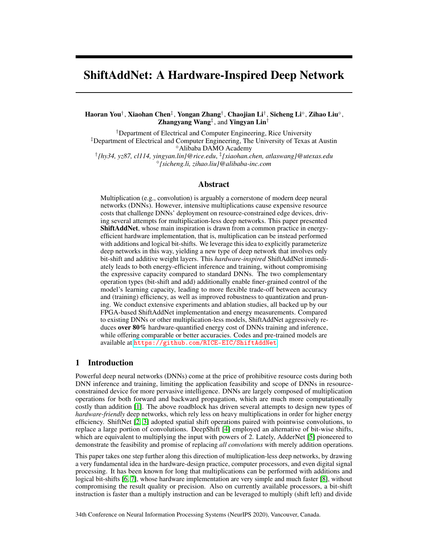Relevant observations in DNN training. It has been shown that DNN training contains redundancy in various aspects [\[18,](#page-10-8) [19,](#page-10-9) [20,](#page-10-10) [21,](#page-10-11) [22,](#page-10-12) [23\]](#page-10-13). For example, [\[24\]](#page-10-14) explores an orthogonal weight training algorithm which over-parameterizes the networks with the multiplication between a learnable orthogonal matrix and fixed randomly initialized weights, and argue that fixing weights during training and only learning a proper coordinate system can yield good generalization for over-parameterized networks; and [\[25\]](#page-10-15) separates the convolution into spatial and pointwise convolutions, while freezing the binary spatial convolution filters (called anchor weights) and only learning the pointwise convolutions. These works inspire the ablation study of fixing shift parameters in our ShiftAddNet.

# 3 The proposed model: ShiftAddNet

In this section, we present our proposed ShiftAddNet. First, we will introduce the motivation and hypothesis beyond ShiftAddNet, and then discuss ShiftAddNet's component layers (i.e., shift and add layers) from both hardware cost and algorithmic perspectives, providing high-level background and justification for ShiftAddNet. Finally, we discuss a more efficient variant of ShiftAddNet.

#### <span id="page-2-1"></span>3.1 Motivation and hypothesis

Driven from the long-standing tradition in the field of energy-efficient hardware implementation to replace expensive multiplication with lower-cost bit-shifts and adds, we re-design DNNs by pipelining the shift and add layers. We hypothesize that (1) while DNNs with merely either shift and add layers in general are less capable compared to their multiplication-based DNN counterparts, integrating these two weak players can lead to networks with much improved expressive capacity, while maintaining their hardware efficient advantages; and (2) thanks to the coarse- and fine-grained input manipulations resulted from the complementary shift and add layers, there is a possibility that such new network pipeline can even lead to new models which are comparable with multiplication-based DNNs in terms of task accuracy, while offering superior hardware efficiency.

#### 3.2 ShiftAddNet: shift Layers

This subsection discusses the shift layers adopted in our proposed ShiftAddNet in terms of hardware efficiency and algorithmic capacity.

Hardware perspective. Shift operation is a well known efficient hardware primitive, motivating recent development of various shiftbased efficient DNNs [\[4,](#page-9-3) [2,](#page-9-1) [3\]](#page-9-2). Specifically, the shift layers in [\[4\]](#page-9-3) reduce DNNs' computation and energy costs by replacing the regular costdominant multiplication-based convolution and linear operations (a.k.a fully-connected layers) with bit-shift-based convolution and linear operations, respectively. Mathematically, such bit-

|  |  | Table 1: Unit energy comparisons using ASIC & FPGA. |  |  |  |
|--|--|-----------------------------------------------------|--|--|--|
|--|--|-----------------------------------------------------|--|--|--|

<span id="page-2-0"></span>

| Format    |              | ASIC(45nm)  |         | <b>FPGA (ZYNO-7 ZC706)</b> |           |
|-----------|--------------|-------------|---------|----------------------------|-----------|
| Operation | Format       | Energy (pJ) | Improv. | Energy (pJ)                | Improv.   |
|           | FP32         | 3.7         |         | 18.8                       |           |
| Mult.     | <b>FIX32</b> | 3.1         |         | 19.6                       | ۰         |
|           | FIX8         | 0.2         |         | 0.2                        |           |
|           | FP32         | 0.9         | 4.1x    | 0.4                        | 47x       |
| Add       | <b>FIX32</b> | 0.1         | 31x     | 0.1                        | 196x      |
|           | FIX8         | 0.03        | 6.7x    | 0.1                        | 2x        |
|           | <b>FIX32</b> | 0.13        | 24x     | 0.1                        | 196x      |
| Shift     | FIX8         | 0.024       | 8.3x    | 0.025                      | <b>8x</b> |

shift operations are equivalent to multiplying by powers of 2. As summarized in Tab. [1,](#page-2-0) such shift operations can be extremely efficient as compared to their corresponding multiplications. In particular, bit-shifts can save as high as 196 and 24 energy costs over their multiplication couterpart, when implemented in a 45nm CMOS technology and SOTA FPGA [\[26\]](#page-11-0), respectively. In addition, for a 16-bit design, it has been estimated that the average power and area of multipliers are at least 9.7 and 1.45 , respectively, of the bit-shifts [\[4\]](#page-9-3).

Algorithmic perspective. Despite its promising hardware efficiency, networks constructed with bit-shifts can compare unfavorably with its multiplication-based counterpart in terms of expressive efficiency. Formally, expressive efficiency of architecture A is higher than architecture B if any functions realized by B could be replicated by A, but there exists functions realized by A, which cannot be replicated by B unless its size grows significantly larger [\[27\]](#page-11-1). For example, it is commonly adopted that DNNs are exponentially efficient as compared to shallow networks because a shallow network must grow exponentially large for approximating the functions represented by a DNN of polynomial sizes. For ease of discussion, we refer to [\[28\]](#page-11-2) and use a loosely defined metric of expressiveness called expressive capacity (accuracy) in this paper without loss of generality. Specifically, expressive capacity refers to the achieved accuracy of networks under the same or similar hardware cost, i.e., network A is deemed to have a better expressive capacity compared to network B if the former achieves a higher accuracy at a cost of the same or even fewer FLOPs (or energy cost). From this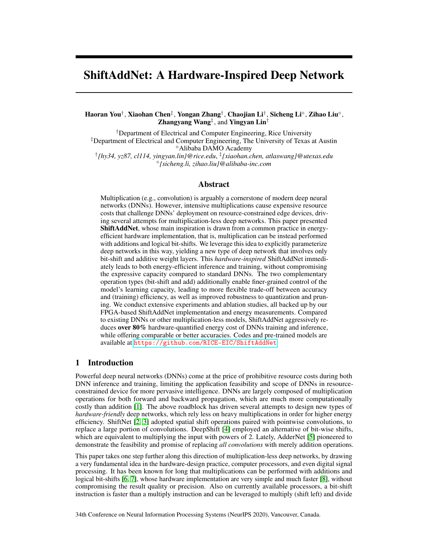<span id="page-3-0"></span>

Figure 1: Illustrating the overview structure of ShiftAddNet.

perspective, networks with bit-shift layers without full-precision latent weights are observed to be inferior to networks with add layers or multiplication-based convolution layers as shown in prior arts [\[5,](#page-9-4) [10\]](#page-10-0) and validated in our experiments (see Sec. [4\)](#page-5-0) under various settings and datasets.

#### 3.3 ShiftAddNet: add Layers

Similar to the aforementioned subsection, here we discuss the add layers adopted in our proposed ShiftAddNet in terms of hardware efficiency and algorithmic capacity.

Hardware perspective. Addition is another well known efficient hardware primitive. This has motivated the design of efficient DNNs mostly using additions [\[5\]](#page-9-4), and there are many works trying to trade multiplications for additions in order to speed up DNNs [\[29,](#page-11-3) [5,](#page-9-4) [30\]](#page-11-4). In particular, [\[5\]](#page-9-4) investigates the feasibility of replacing multiplications with additions in DNNs, and presents AdderNets which trade the massive multiplications in DNNs for much cheaper additions to reduce computational costs. As a concrete example in Tab. [1,](#page-2-0) additions can save up to 196 and 31 energy costs over multiplications in fixed-point formats, and can save 47 and 4.1 energy costs in flaoting-point formats (more expensive), when being implemented in a 45nm CMOS technology and SOTA FPGA [\[26\]](#page-11-0), respectively. Note that the pioneering work [\[5\]](#page-9-4) which investigates addition dominant DNNs presents their networks in flaoting-point formats.

Algorithmic perspective. While there have been no prior works studying add layers in terms of expressive efficiency or capacity. The results in SOTA bit-shift-based networks [\[4\]](#page-9-3) and add-based networks [\[5\]](#page-9-4) as well as our experiments under various settings show that add-based networks in general have better expressive capacity than their bit-shift-based counterparts. In particular, AdderNets [\[5\]](#page-9-4) achieves a 1.37% higher accuracy than that of DeepShift [\[4\]](#page-9-3) at a cost of similar or even lower FLOPs on ResNet-18 with the ImageNet dataset. Furthermore, when it comes to DNNs, the diversity of learned features' granularity is another factor that is important to the achieved accuracy [\[31\]](#page-11-5). In this regard, shift layers are deemed to extract large-grained feature extraction as compared to small-grained features learned by add layers.

#### 3.4 ShiftAddNet implementation

#### 3.4.1 Overview of the structure

To better validate our aforementioned Hypothesis (1), i.e., integrating the two weak players (shift and add) into one can lead to networks with much improved task accuracy and hardware efficiency as compared to networks with merely one of the two weak players, we adopt SOTA bit-shift-based and add-based networks' design to implement the shift and add layers of our ShiftAddNet in this paper. In this way, we can better evaluate that the resulting designs' improved performance comes merely from the integration effect of the two, ruling out potential impact due to a different design. The overall structure of ShiftAddNet is illustrated in Fig. [1,](#page-3-0) which can be formulated as follows:

<span id="page-3-1"></span>
$$
O = \mathbf{k}_{\partial}(\mathbf{k}_{S}(I, \mathbf{s} \quad 2^{\mathbf{p}}), \mathbf{w}_{\partial}), \quad \text{where } \mathbf{k}_{S}(\mathbf{x}, \mathbf{w}) = \sum \mathbf{x}^{\mathbf{T}} \quad \mathbf{w} \text{ and } \mathbf{k}_{\partial}(\mathbf{x}, \mathbf{w}) = \sum k \mathbf{x} \quad \mathbf{w} k_{1} \quad (1)
$$

where **I** and **O** denote the input and output activations, respectively;  $\mathbf{k}_s($ ,  $)$  and  $\mathbf{k}_s($ ,  $)$  are kernel functions to perform the inner products and subtractions of a convolution;  $w_a$  denotes the weights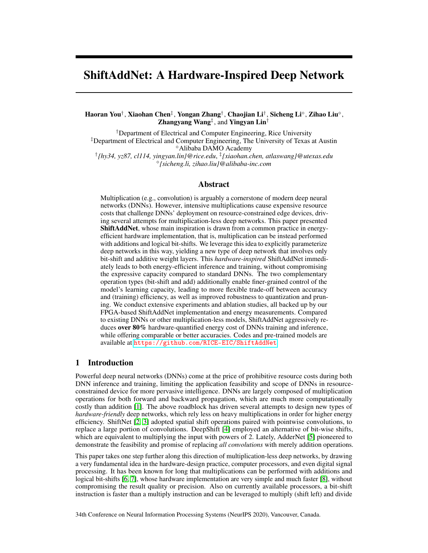in the add layers, and  $w_s = s$  2<sup>p</sup> represents the weights in the shift layers, in which s are sign flip operators  $s \nightharpoonup f1, 0, 1g$  and the powers of 2 parameters **p** can represent the bit-wise shift.

Dimensions of shift and add layers. A shift layer in ShiftAddNet adopts the same strides and weight dimensions as that in the corresponding multification-based DNNs (e.g., ConvNet), followed by an add layer which adapts its kernel sizes and input channels to match the reduced feature maps. Although in this way ShiftAddNet contains slightly more weights than that of ConvNet/AdderNet (e.g.,

1.3MB vs. 1.03 MB in ConvNet/AdderNet (FP32) on ResNet20), it consumes less energy costs to achieve similar accuracies because data movement is the cost bottleneck in hardware acceleration [\[32,](#page-11-6) [33,](#page-11-7) [34\]](#page-11-8). ShiftAddNet can be further quantized to 0.4 MB (FIX8) without hurting the accuracy, which will be demonstrated using experiments in Sec. 4.2.

#### 3.4.2 Backpropagation in ShiftAddNet

ShiftAddNet adopts SOTA bit-shift-based and add-based networks' design during backpropagation. Here we explicitly formulate both the inference and backpropagation of the shift and add layers. The add layers during inference can be expressed as:

$$
O_{a}[c_{o}][e][f] = \sum_{C_{I}-1} kx_{a} \mathbf{w}_{a}k_{1}
$$
  
= 
$$
\sum_{C_{i}=0}^{C_{I}-1} \sum_{r=0}^{R-1} \sum_{s=0}^{S-1} kx_{a}[c_{i}][e+r][f+s] \mathbf{w}_{a}[c_{o}][c_{i}][r][s]k_{1},
$$
 (2)

where  $0 \quad c_0 < C_O$ ,  $0 \quad e < E$ ,  $0 \quad f < F$ , and specifically,  $C_I$  and  $C_O$ , E and F, R and  $S$  stand for the number of the input and output channels, the size of the input and output feature maps, and the size of the weight filters, respectively; and  $O_a$ ,  $\mathbf{x}_a$ , and  $\mathbf{w}_a$  denote the output and input activations, and the weights, respectively. Based on the above notation, we formulate the add layers' backpropagation in the following equations:

$$
\frac{\partial \mathbf{O}_a[c_0][c][f]}{\partial \mathbf{w}_a[c_0][c_1][r][s]} = \mathbf{x}_a[c_i][e+r][f+s] \quad \mathbf{w}_a[c_0][c_i][r][s],\tag{3}
$$

$$
\frac{\partial \mathbf{O}_a[c_0][e][f]}{\partial \mathbf{x}_a[c_i][e+r][f+s]} = \mathsf{HT}(\mathbf{x}_a[c_i][e+r][f+s] \quad \mathbf{w}_a[c_0][c_i][r][s]),\tag{4}
$$

<span id="page-4-0"></span>where HT denotes the HardTanh function following AdderNet [\[5\]](#page-9-4) to prevent gradients from exploding. Note that the difference over AdderNet is that the strides of ShiftAddNet's add layers are always equal to one, while its shift layers share the same strides with its corresponding ConvNet.

Next, we use the above notation to introduce both the inference and backpropagation design of ShiftAddNet's shift layers, with one additional symbol  $U$  denoting the stride:

$$
O_{S}[c_{o}][e][f] = \sum_{i} \mathbf{x}_{S}^{T} \quad \mathbf{w}_{S} = \sum_{c_{i}=0}^{C_{I}-1} \sum_{r=0}^{R-1} \sum_{s=0}^{S-1} \mathbf{x}_{S}[c_{i}][eU+r][fU+s] \quad \mathbf{s}[c_{o}][c_{i}][r][s] \quad 2^{\mathbf{p}[c_{o}][c_{i}][r][s]},
$$
\n(5)

$$
\frac{\partial \mathbf{O}_a}{\partial \mathbf{p}} = \frac{\partial \mathbf{O}_a}{\partial \mathbf{O}_s} \frac{\partial \mathbf{O}_s}{\partial \mathbf{w}_s} \quad \mathbf{w}_s \quad \ln 2, \quad \frac{\partial \mathbf{O}_a}{\partial \mathbf{s}} = \frac{\partial \mathbf{O}_a}{\partial \mathbf{O}_s} \frac{\partial \mathbf{O}_s}{\partial \mathbf{w}_s}, \quad \frac{\partial \mathbf{O}_a}{\partial \mathbf{x}_s} = \frac{\partial \mathbf{O}_a}{\partial \mathbf{O}_s} \quad \mathbf{w}_s^{\mathrm{T}}, \tag{6}
$$

<span id="page-4-1"></span>where  $O_s$ ,  $\mathbf{x}_s$ , and  $\mathbf{w}_s$  denote the output and input activations, and the weights of shift layers, respectively;  $\mathcal{O}_a/\mathcal{O}_s$  follows Equ. [\(4\)](#page-4-0) to perform backpropagation since a shift layer is followed by an add layer in ShiftAddNet.

#### 3.4.3 ShiftAddNet variant: fixing the shift layers

Inspired by the recent success of freezing anchor weights [\[25,](#page-10-15) [24\]](#page-10-14) for over-parameterized networks, we hypothesize that freezing the "over-parameterized" shift layers (large-grained anchor weights) in ShiftAddNet can potentially lead to a good generalization ability, motivating us to develop a variant of ShiftAddNet with fixed shift layers. In particular, ShiftAddNet with fixed shift layers simply means the shift weight filters s and p in Equ. [\(1\)](#page-3-1) remain the same after initialization. Training ShiftAddNet with fixed shift layers is straightforward because the shift weight filters (i.e., s and  $p$  in Equ.[\(1\)](#page-3-1)) do not need to be updated (i.e., skipping the corresponding gradient calculations) while the error can be backpropagated through the fixed shift layers in the same way as they are backpropagated through the learnable shift layers (see Equ. [\(6\)](#page-4-1)). Moreover, we further prune the fixed shift layers to only reserve the necessary large-grained anchor weights to design a more energy-efficient ShiftAddNet.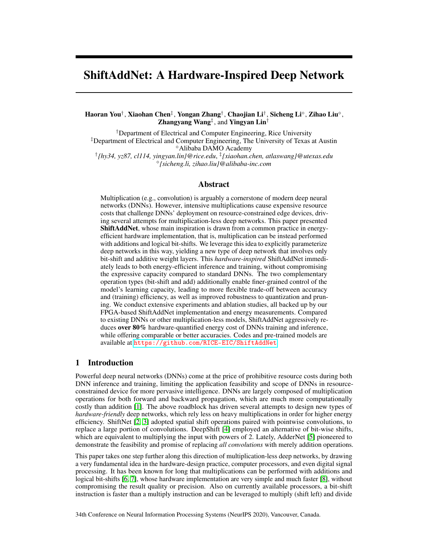# <span id="page-5-0"></span>4 Experiment results

In this section, we first describe our experiment setup, and then benchmark ShiftAddNet over SOTA DNNs. After that, we evaluate ShiftAddNet in the context of domain adaptation. Finally, we present ablation studies of ShiftAddNet's shift and add layers.

## 4.1 Experiment setup

Models and datasets. We consider two DNN models (i.e., ResNet-20 [\[35\]](#page-11-9) and VGG19-small models [\[36\]](#page-11-10)) on six datasets: two classification datasets (i.e., CIFAR-10/100) and four IoT datasets (including MHEALTH [\[37\]](#page-11-11), FlatCam Face [\[38\]](#page-11-12), USCHAD [\[39\]](#page-11-13), and Head-pose detection [\[40\]](#page-11-14)). Specifically, the Head-pose dataset contains 2,760 images, and we adopt randomly sampled 80% for training and the remaining 20% for testing the correctness of three outputs: front, left, and right [\[41\]](#page-11-15); the FlatCam Face dataset contains 23,838 face images captured using a FlatCam lensless imaging system [\[38\]](#page-11-12), which are resized to 76 76 before being used.

Training settings. For the CIFAR-10/100 and Head-pose datasets, the training takes a total of 160 epochs with a batch size of 256, where the initial learning rate is set to 0.1 and then divided by 10 at the 80-th and 120-th epochs, respectively, and a SGD solver is adopted with a momentum of 0.9 and a weight decay of 10<sup>-4</sup> following [\[42\]](#page-11-16). For the FlatCam Face dataset, we follow [\[43\]](#page-11-17) to pre-train the network on the VGGFace 2 dataset for 20 epochs before adapting to the FlatCam Face images. For the trainable shift layers, we follow [\[4\]](#page-9-3) to adopt 50% sparsity by default; and for the MHEALTH and USCHAD datasets, we follow [\[44\]](#page-12-0) to use a DCNN model and train it for 40 epochs.

Baselines and evaluation metrics. Baselines: We evaluate the proposed ShiftAddNet over two SOTA multiplication-less networks, including AdderNet [\[5\]](#page-9-4) and DeepShift (use DeepShift (PS) by default) [\[4\]](#page-9-3), and also compare it to the multiplication-based ConvNet [\[45\]](#page-12-1) under a comparable energy cost ( 30% more than AdderNet (FP32)). Evaluation metrics: For evaluating real hardware efficiency, we measure the energy cost of all DNNs on a SOTA FPGA platform, ZYNQ-7 ZC706 [\[9\]](#page-9-8). Note that our energy measurements in all experiments include the DRAM access costs.

## 4.2 ShiftAddNet over SOTA DNNs on standard training

Experiment settings. For this set of experiments, we consider the general ShiftAddNet with learnable shift layers. For the two SOTA multiplication-less baselines: AdderNet [\[5\]](#page-9-4) and DeepShift [\[4\]](#page-9-3), the latter of which quantizes its activations to 16-bit fixed-point for shifting purposes while its backpropagation uses a floating-point precision. As floating-point additions are more expensive than multiplications [\[46\]](#page-12-2), we refer to SOTA quantization techniques [\[47,](#page-12-3) [48\]](#page-12-4) for quantizing both the forward (weights and activations) and backward (errors and gradients) parameters to 32/8-bit fixedpoint (FIX32/8), for evaluating the potential energy savings of both the ShiftAddNet and AdderNet.

ShiftAddNet over SOTA on classification. The results on four datasets and two DNNs in Fig. [2](#page-6-0) (a), (b), (e), and (d) show that ShiftAddNet can consistently outperform all competitors in terms of the measured energy cost, while improving the task accuracies. Specifically, with full-precision floating-point (FP32) ShiftAddNet even surpasses both the multiplication-based ConvNet and the AdderNet: when training ResNet-20 on CIFAR-10, ShiftAddNet reduces 33.7% and 44.6% of the training energy costs as compared to AdderNet and ConvNet [\[45\]](#page-12-1), respectively, outperforming SOTA multiplication-based ConvNet and thus validating our Hypothesis (2) in Section [3.1;](#page-2-1) and ShiftAddNet demonstrates notably improved robustness to quantization as compared to AdderNet: a quantized ShiftAddNet with 8-bit fixd-point presentation reduces 65.1% 75.0% of the energy costs over the reported one of AdderNet (with a floating-point precision, as denoted as FP32) while offering comparable accuracies (-1.79% +0.18%), and achieves a greatly higher accuracy  $(7.2\%$  37.1%) over the quantized AdderNet (FIX32/8) while consuming comparable or even less energy costs  $(-25.2\%$  25.2%). Meanwhile, ShiftAddNet achieves 2.41% 16.1% higher accuracies while requiring 34.1% 70.9% less energy costs, as compared to DeepShift [4]. This set of results also 70.9% less energy costs, as compared to DeepShift [\[4\]](#page-9-3). This set of results also verify our Hypothesis (1) in Section [3.1](#page-2-1) that integrating the weak shift and add players can lead to improved network expressive capacity with negligible or even lower hardware costs.

We also compare ShiftAddNet with the baselines in an apple-to-apple manner based on the same quantization format (e.g., FIX32). For example, when evaluated on VGG-19 with CIFAR-10 (see Fig. [2](#page-6-0) (c)), ShiftAddNet consistently (1) improves the accuracuies by  $11.6\%$ ,  $10.6\%$ , and 37.1% as compared to AdderNet in FIX32/16/8 formats, at comparable energy costs (-25.2%

15.7%); and (2) improves the accuracies by 26.8%, 26.2%, and 24.2% as compared to DeepShift (PS) using FIX32/16/8 formats, with comparable or slighly higher energy overheads. To further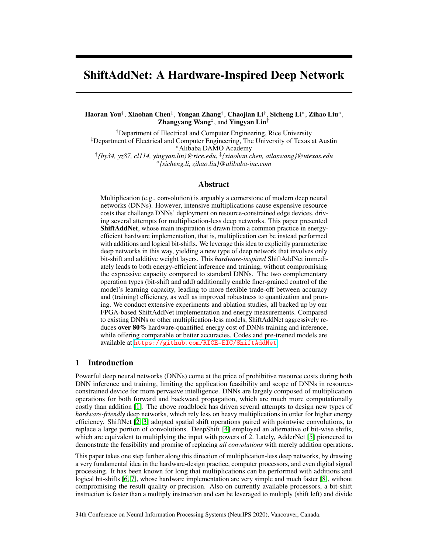<span id="page-6-0"></span>

<span id="page-6-1"></span>Figure 2: Tesing accuracy vs. energy cost of ShiftAddNet over AdderNet [\[5\]](#page-9-4) (add only), DeepShift [\[4\]](#page-9-3) (shift only), and multiplication-based ConvNet [\[45\]](#page-12-1), using ResNet-20 and VGG19-small models on CIFAR-10/100 and two IoT datasets.



Figure 3: Testing accuracy's trajectories visualization for ShiftAddNet, AdderNet [\[5\]](#page-9-4), and DeepShift [\[4\]](#page-9-3) versus both training epochs and energy costs when evaluated on ResNet-20 with CIFAR-10.

analyze ShiftAddNet's improved robustness to quantization, we compare the discriminative power of AdderNet and ShiftAddNet by visualizing the class divergences using the t-SNE algorithm [\[49\]](#page-12-5), as shown in the supplement.

ShiftAddNet over SOTA on IoT applications. We further evaluate ShiftAddNet over the SOTA baselines on the two IoT datasets to evaluate its effectiveness on real-world IoT tasks. As shown in Fig. [2](#page-6-0) (c) and (f), ShiftAddNet again consistently outperforms the baselines under all settings in terms of efficiency-accuracy trade-offs. Specifically, compared with AdderNet, ShiftAddNet achieves 34.1%

80.9% energy cost reductions while offering 1.08% 3.18% higher accuracies; and compared with DeepShift (PS), ShiftAddNet achieves 34.1% 50.9% energy savings while improving accuracies by 5.5% 6.9%. This set of experiments show that ShiftAddNet's effectiveness and superiority extends to read-world IoT applications. We also observe similar improved efficiency-accuracy trade-offs on the MHEALTH [\[37\]](#page-11-11) and USCHAD [\[39\]](#page-11-13) datasets and report the performance in the supplement.

ShiftAddNet over SOTA on training trajectories. Fig. [3](#page-6-1) (a) and (b) visualize the testing accuracy's trajectories of ShiftAddNet and the two baselines versus both the training epoch and energy cost, respectively, on ResNet-20 with CIFAR-10. We can see that ShiftAddNet achieves a comparable or higher accuracy with fewer epochs and energy costs, indicating its better generalization capability.

### 4.3 ShiftAddNet over SOTA on domain adaption and fine-tuning

To further evaluate the potential capability of ShiftAddNet for on-device learning [\[50\]](#page-12-6), we consider the training settings of adaptation and fine-tuning: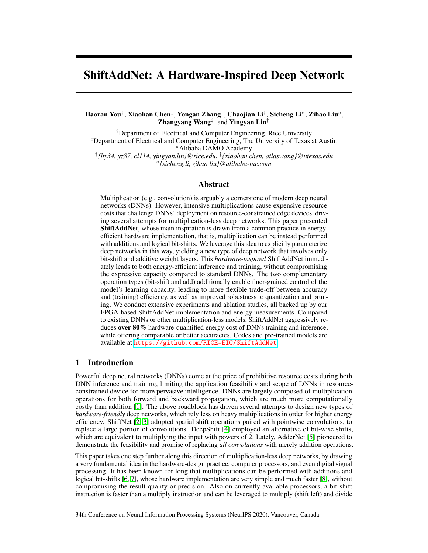<span id="page-7-1"></span>

Figure 4: Testing accuracy vs. energy cost of ShiftAddNet with fixed shift layers over AdderNet [\[5\]](#page-9-4) (add only), DeepShift [\[4\]](#page-9-3) (shift only), and multiplication-based ConvNet [\[45\]](#page-12-1), using the ResNet-20 and VGG19-small models on the CIFAR-10/100 and two IoT datasets.

<span id="page-7-0"></span>Table 2: Adaptation and fine-tuning results comparisons using ResNet-20 trained on CIFAR-10.

|                     |                     | Accuracy $(\% )$ |            |                   |
|---------------------|---------------------|------------------|------------|-------------------|
| Setting             | <b>Methods</b>      | Adaptation       | Finetuning | Energy Costs (MJ) |
|                     | DeepShift           | 58.41            | 51.31      | 9.88              |
|                     | <b>AdderNet</b>     | 79.79            | 84.23      | 25.41             |
| ResNet20 on CIFAR10 | ShiftAddNet         | 81.50            | 84.61      | 16.82             |
|                     | ShiftAddNet (Fixed) | 85.10            | 84.88      | 11.04             |

- Adaptation. We split CIFAR-10 into two non-overlapping subsets. We first pre-train the model on one subset and then retrain it on the other set to see how accurately and efficiently they can adapt to the new task. The same splitting is applied to the test set.
- Fine-tuning. Similarly, we randomly split CIFAR-10 into two non-overlapping subsets, the difference is that each subset contains all classes. After pre-training on the first subset, we fine-tune the model on the other, expecting to see a continuous growth in performance.

Tab. [2](#page-7-0) compares the testing accuracies and training energy costs of ShiftAddNet and the baselines. We can see that ShiftAddNet always achieves a better accuracy over the two SOTA multiplication-less networks. First, compared to AdderNet, ShiftAddNet boosts the accuracy by 5.31% and 0.65%, while reducing the energy cost by 56.6% on the adaptation and fine-tuning scenarios, respectively; Second, compared to DeepShift, ShiftAddNet notably improves the accuracy by 26.69% and 33.57% on the adaptation and fine-tuning scenarios, respectively, with a marginally increased energy (10.5%).

#### 4.4 Ablation studies of ShiftAddNet

We next study ShiftAddNet's shift and add layers for better understanding this new network.

#### 4.4.1 ShiftAddNet: fixing the shift layers or not

ShiftAddNet with fixed shift layers. In this set of experiments, we study ShiftAddNet with the shift layers fixed or learnable. As shown in Fig. [4,](#page-7-1) we can see that (1) Overall, ShiftAddNet with fixed shift layers can achieve up to 90.0% and 82.8% energy savings than AdderNet (with floating-point or fixed-point precisions) and DeepShift, while leading to comparable or better accuracies (-3.74% +31.2% and 3.5% 23.6%), respectively; and (2) interestingly, ShiftAddNet with fixed shift layers also surpasses the generic ShiftAddNet from two aspects: First, it always demands less energy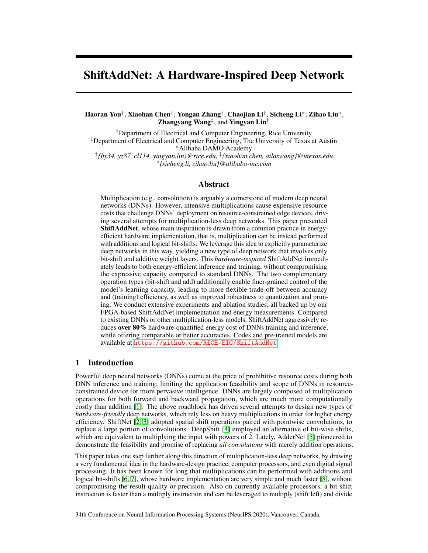<span id="page-8-1"></span>

Figure 6: *Left:* Histograms of the weights in the 11-th add layer of ResNet20 trained on CIFAR-10. *Right:* Comparing accuracies of ShiftAddNet with AdderNet under different pruning ratios.

costs (25.2% 40.9%) to achieve a comparable or even better accuracy; and second, it can even achieve a better accuracy and better robustness to quantizaiton (up to 10.8% improvement for 8-bit fixed-point training) than the generic ShiftAddNet with learnable shift layers, when evaluated with VGG19-small on CIFAR-100.

ShiftAddNet with its fixed shift layers pruned. As it has become a common practice to prune multiplication-based DNNs before deploying into resource-constrained devices, we are thus curious whether this can be extended to our ShiftAddNet. To do so, we randomly prune the shift layers by 30%, 50%, 70% and 90%, and compare the testing accuracy versus the training epochs for both the pruned ShiftAddNets and its corresponding Adder-Net. Fig. [5](#page-8-0) shows that ShiftAddNet maintains its fast convergence benefit even when the shift layers are largely pruned (e.g., up to 70%).

<span id="page-8-0"></span>

for the AdderNet [\[5\]](#page-9-4) and pruned ShiftAddNets

on ResNet-20 with CIFAR-10.

## 4.4.2 ShiftAddNet: sparsify the add layers or not

Sparsifying the add layers allows us to further reduce

the used parameters and save training costs. Similar to quantization, we observe that even slightly pruning AdderNet incurs an accuracy drop. As shown in Fig. [6,](#page-8-1) we visualize the distribution of weights in the 11-th add layer when using a ResNet-20 as backbone under different pruning ratios. Note that only non-zero weights are shown in the histogram for better visualization. We can see that networks with only adder layers, i.e., AdderNet, fail to provide a wide dynamic range for the weights (collapse to narrow distribution ranges) at high pruning ratios, while ShiftAddNet can preserve a consistently wide dynamic ranges of weights. That explains the improved robustness of ShiftAddNet to sparsification. The test accuracy comparisons in Fig.  $6$  (c) demonstrate that when pruning  $50\%$ of the parameters in the add layers, ShiftAddNet can still achieve 80.42% test accuracy while the accuracy of AdderNets collapses to 51.47%.

# 5 Conclusion

We propose a multiplication-free ShiftAddNet for efficient DNN training and inference inspired by the well-known shift and add hardware expertise, and show that ShiftAddNet achieves improved expressiveness and parameter efficiency, solving the drawbacks of networks with merely shift and add operations. Moreover, ShiftAddNet enables more flexible control of different levels of granularity in the network training than ConvNet. Interestingly, we find that fixing ShiftAddNet's shift layers even leads to a comparable or even better accuracy for over-parameterized networks on our considered IoT applications. Extensive experiments and ablation studies demonstrate the superior energy efficiency, convergence, and robustness of ShiftAddNet over its add or shift only counterparts. We believe many promising problems are still open to be discussed for our proposed new network, an immediate future work is to explore the theoretical ground of such a fixed regularization.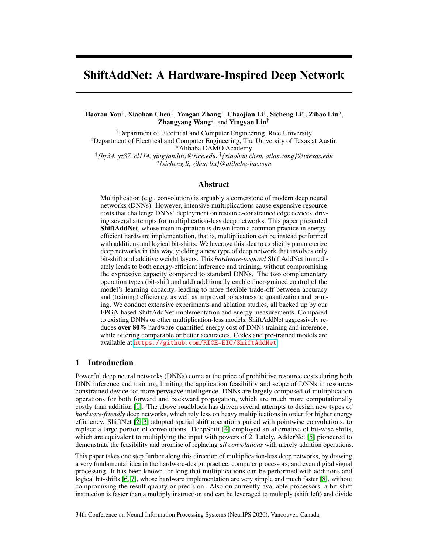## Broader impact

**Efficient DNN training goal.** Recent DNN breakthroughs rely on massive data and computational power. Also, the modern DNN training requires massive yet inefficient multiplications in the convolution, making DNN training very challenging and limiting the practical applications on resource-constrained mobile devices. First, training DNNs causes prohibitive computational costs. For example, training a medium scale DNN, ResNet-50, requires ten to the power of eighteen floatingpoint operations or FLOPs [\[51\]](#page-12-7). Second, DNN training has raised pressing environmental concerns. For instance, the carbon emission of training one DNN can be as high as one American cars' life-long emission [\[52,](#page-12-8) [50\]](#page-12-6). Therefore, efficient DNN training has become a very important research problem.

Generic hardware-inspired algorithm. To achieve the efficient training goal, this paper takes one further step along the direction of multiplication-less deep networks. by drawing a very fundamental idea in the hardware-design practice, computer processors, and even digital signal processing. It has been known for long that multiplications can be performed with additions and logical bit-shifts [\[6\]](#page-9-5), whose hardware implementation is very simple and much faster [\[8\]](#page-9-7), without compromising the result quality or precision. The above clever "shortcut" saves arithmetic operations, and can readily be applied to accelerating the hardware implementation of any machine learning algorithm involving multiplication (either scalar, vector or matrix). But our curiosity is well beyond this: *we are supposed to learn from this hardware-level "shortcut", for designing efficient learning algorithms.*

Societal consequences. Success of this project enables both efficient online training and inference of state-of-the-art DNNs in pervasive resource-constrained platforms and applications. As machine learning powered edge devices have penetrated all walks of life, the project is expected to generate tremendous impacts on societies and economies. Progress on this paper will enable ubiquitous DNNpowered intelligent functions in edge devices, across numerous camera-based Internet-of-Things (IoT) applications such as traffic monitoring, self-driving and smart cars, personal digital assistants, surveillance and security, and augmented reality. We believe the hardware-inspired ShiftAddNet is a significant efficient network training methods, which would make an impact to the society.

#### References

- <span id="page-9-0"></span>[1] Mark Horowitz. Energy table for 45nm process. In *Stanford VLSI wiki*. 2014.
- <span id="page-9-1"></span>[2] Bichen Wu, Alvin Wan, Xiangyu Yue, Peter Jin, Sicheng Zhao, Noah Golmant, Amir Gholaminejad, Joseph Gonzalez, and Kurt Keutzer. Shift: A zero flop, zero parameter alternative to spatial convolutions. In *Proceedings of the IEEE Conference on Computer Vision and Pattern Recognition*, pages 9127–9135, 2018.
- <span id="page-9-2"></span>[3] Weijie Chen, Di Xie, Yuan Zhang, and Shiliang Pu. All you need is a few shifts: Designing efficient convolutional neural networks for image classification. In *Proceedings of the IEEE Conference on Computer Vision and Pattern Recognition*, pages 7241–7250, 2019.
- <span id="page-9-3"></span>[4] Mostafa Elhoushi, Farhan Shafiq, Ye Tian, Joey Yiwei Li, and Zihao Chen. Deepshift: Towards multiplication-less neural networks. *arXiv preprint arXiv:1905.13298*, 2019.
- <span id="page-9-4"></span>[5] Hanting Chen, Yunhe Wang, Chunjing Xu, Boxin Shi, Chao Xu, Qi Tian, and Chang Xu. Addernet: Do we really need multiplications in deep learning? *The IEEE Conference on Computer Vision and Pattern Recognition*, 2020.
- <span id="page-9-5"></span>[6] Ping Xue and Bede Liu. Adaptive equalizer using finite-bit power-of-two quantizer. *IEEE transactions on acoustics, speech, and signal processing*, 34(6):1603–1611, 1986.
- <span id="page-9-6"></span>[7] Y. Lin, S. Zhang, and N. R. Shanbhag. Variation-tolerant architectures for convolutional neural networks in the near threshold voltage regime. In *2016 IEEE International Workshop on Signal Processing Systems (SiPS)*, pages 17–22, 2016.
- <span id="page-9-7"></span>[8] Michele Marchesi, Gianni Orlandi, Francesco Piazza, and Aurelio Uncini. Fast neural networks without multipliers. *IEEE transactions on Neural Networks*, 4(1):53–62, 1993.
- <span id="page-9-8"></span>[9] Getting Started Guide. Zynq-7000 all programmable soc zc706 evaluation kit (ise design suite 14.7). 2012.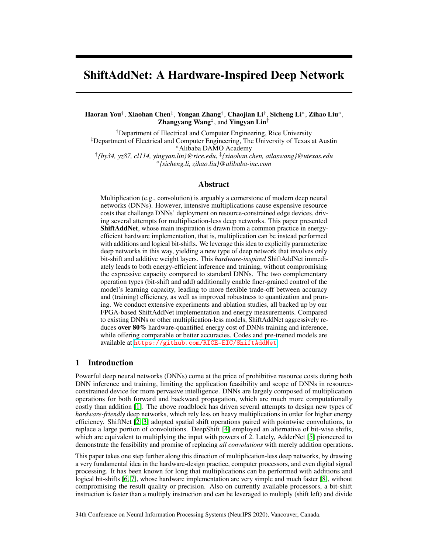- <span id="page-10-0"></span>[10] Andrew G Howard, Menglong Zhu, Bo Chen, Dmitry Kalenichenko, Weijun Wang, Tobias Weyand, Marco Andreetto, and Hartwig Adam. Mobilenets: Efficient convolutional neural networks for mobile vision applications. *arXiv preprint arXiv:1704.04861*, 2017.
- <span id="page-10-1"></span>[11] Y. Lin, C. Sakr, Y. Kim, and N. Shanbhag. PredictiveNet: An energy-efficient convolutional neural network via zero prediction. In *2017 IEEE International Symposium on Circuits and Systems (ISCAS)*, pages 1–4, 2017.
- <span id="page-10-2"></span>[12] Zhouhan Lin, Matthieu Courbariaux, Roland Memisevic, and Yoshua Bengio. Neural networks with few multiplications. *arXiv preprint arXiv:1510.03009*, 2015.
- <span id="page-10-3"></span>[13] Matthieu Courbariaux, Itay Hubara, Daniel Soudry, Ran El-Yaniv, and Yoshua Bengio. Binarized neural networks: Training deep neural networks with weights and activations constrained to+ 1 or-1. *arXiv preprint arXiv:1602.02830*, 2016.
- <span id="page-10-4"></span>[14] Koen Helwegen, James Widdicombe, Lukas Geiger, Zechun Liu, Kwang-Ting Cheng, and Roeland Nusselder. Latent weights do not exist: Rethinking binarized neural network optimization. In *Advances in Neural Information Processing Systems 32*, pages 7533–7544. 2019.
- <span id="page-10-5"></span>[15] Dehua Song, Yunhe Wang, Hanting Chen, Chang Xu, Chunjing Xu, and DaCheng Tao. Addersr: Towards energy efficient image super-resolution. *arXiv preprint arXiv:2009.08891*, 2020.
- <span id="page-10-6"></span>[16] Yixing Xu, Chang Xu, Xinghao Chen, Wei Zhang, Chunjing Xu, and Yunhe Wang. Kernel based progressive distillation for adder neural networks. *arXiv preprint arXiv:2009.13044*, 2020.
- <span id="page-10-7"></span>[17] Jose-Luis Sanchez-Romero, Antonio Jimeno-Morenilla, Rafael Molina-Carmona, and Jose Perez-Martinez. An approach to the application of shift-and-add algorithms on engineering and industrial processes. *Mathematical and Computer Modelling*, 57(7-8):1800–1806, 2013.
- <span id="page-10-8"></span>[18] Yue Wang, Ziyu Jiang, Xiaohan Chen, Pengfei Xu, Yang Zhao, Yingyan Lin, and Zhangyang Wang. E2-train: Training state-of-the-art cnns with over 80% energy savings. In *Advances in Neural Information Processing Systems*, pages 5138–5150, 2019.
- <span id="page-10-9"></span>[19] Haoran You, Chaojian Li, Pengfei Xu, Yonggan Fu, Yue Wang, Xiaohan Chen, Richard G Baraniuk, Zhangyang Wang, and Yingyan Lin. Drawing early-bird tickets: Toward more efficient training of deep networks. In *International Conference on Learning Representations*, 2019.
- <span id="page-10-10"></span>[20] Zhaohui Yang, Yunhe Wang, Chuanjian Liu, Hanting Chen, Chunjing Xu, Boxin Shi, Chao Xu, and Chang Xu. Legonet: Efficient convolutional neural networks with lego filters. In *International Conference on Machine Learning*, pages 7005–7014, 2019.
- <span id="page-10-11"></span>[21] Kai Han, Yunhe Wang, Qi Tian, Jianyuan Guo, Chunjing Xu, and Chang Xu. Ghostnet: More features from cheap operations. In *Proceedings of the IEEE/CVF Conference on Computer Vision and Pattern Recognition*, pages 1580–1589, 2020.
- <span id="page-10-12"></span>[22] Denny Zhou, Mao Ye, Chen Chen, Tianjian Meng, Mingxing Tan, Xiaodan Song, Quoc Le, Qiang Liu, and Dale Schuurmans. Go wide, then narrow: Efficient training of deep thin networks. *arXiv preprint arXiv:2007.00811*, 2020.
- <span id="page-10-13"></span>[23] Hanting Chen, Yunhe Wang, Han Shu, Yehui Tang, Chunjing Xu, Boxin Shi, Chao Xu, Qi Tian, and Chang Xu. Frequency domain compact 3d convolutional neural networks. In *Proceedings of the IEEE/CVF Conference on Computer Vision and Pattern Recognition*, pages 1641–1650, 2020.
- <span id="page-10-14"></span>[24] Weiyang Liu, Rongmei Lin, Zhen Liu, James M Rehg, Li Xiong, and Le Song. Orthogonal over-parameterized training. *arXiv preprint arXiv:2004.04690*, 2020.
- <span id="page-10-15"></span>[25] Felix Juefei-Xu, Vishnu Naresh Boddeti, and Marios Savvides. Local binary convolutional neural networks. In *Proceedings of the IEEE conference on computer vision and pattern recognition*, pages 19–28, 2017.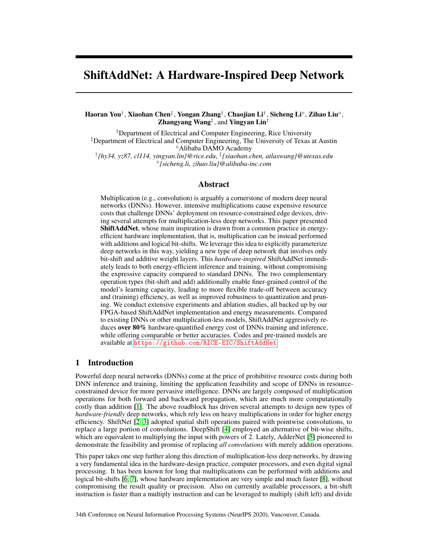- <span id="page-11-0"></span>[26] Xilinx Inc. Xilinx zynq-7000 soc zc706 evaluation kit. [https://www.xilinx.com/](https://www.xilinx.com/products/boards-and-kits/ek-z7-zc706-g.html) [products/boards-and-kits/ek-z7-zc706-g.html](https://www.xilinx.com/products/boards-and-kits/ek-z7-zc706-g.html). (Accessed on 09/30/2020).
- <span id="page-11-1"></span>[27] Or Sharir and Amnon Shashua. On the expressive power of overlapping architectures of deep learning. In *International Conference on Learning Representations*, 2018.
- <span id="page-11-2"></span>[28] Huasong Zhong, Xianggen Liu, Yihui He, and Yuchun Ma. Shift-based primitives for efficient convolutional neural networks. *arXiv preprint arXiv:1809.08458*, 2018.
- <span id="page-11-3"></span>[29] Arman Afrasiyabi, Diaa Badawi, Baris Nasir, Ozan Yildi, Fatios T Yarman Vural, and A Enis Çetin. Non-euclidean vector product for neural networks. In *2018 IEEE International Conference on Acoustics, Speech and Signal Processing (ICASSP)*, pages 6862–6866. IEEE, 2018.
- <span id="page-11-4"></span>[30] Chen Wang, Jianfei Yang, Lihua Xie, and Junsong Yuan. Kervolutional neural networks. In *The IEEE Conference on Computer Vision and Pattern Recognition (CVPR)*, June 2019.
- <span id="page-11-5"></span>[31] Haobin Dou and Xihong Wu. Coarse-to-fine trained multi-scale convolutional neural networks for image classification. In *2015 International Joint Conference on Neural Networks (IJCNN)*, pages 1–7, 2015.
- <span id="page-11-6"></span>[32] Yang Zhao, Xiaohan Chen, Yue Wang, Chaojian Li, Haoran You, Yonggan Fu, Yuan Xie, Zhangyang Wang, and Yingyan Lin. Smartexchange: Trading higher-cost memory storage/access for lower-cost computation. *arXiv preprint arXiv:2005.03403*, 2020.
- <span id="page-11-7"></span>[33] Weitao Li, Pengfei Xu, Yang Zhao, Haitong Li, Yuan Xie, and Yingyan Lin. Timely: Pushing data movements and interfaces in pim accelerators towards local and in time domain, 2020.
- <span id="page-11-8"></span>[34] B. Murmann. Mixed-signal computing for deep neural network inference. *IEEE Transactions on Very Large Scale Integration (VLSI) Systems*, pages 1–11, 2020.
- <span id="page-11-9"></span>[35] Kaiming He, Xiangyu Zhang, Shaoqing Ren, and Jian Sun. Deep residual learning for image recognition. In *The IEEE Conference on Computer Vision and Pattern Recognition (CVPR)*, June 2016.
- <span id="page-11-10"></span>[36] Karen Simonyan and Andrew Zisserman. Very deep convolutional networks for large-scale image recognition. *arXiv preprint arXiv:1409.1556*, 2014.
- <span id="page-11-11"></span>[37] Oresti Banos, Rafael Garcia, Juan A Holgado-Terriza, Miguel Damas, Hector Pomares, Ignacio Rojas, Alejandro Saez, and Claudia Villalonga. mhealthdroid: a novel framework for agile development of mobile health applications. In *International workshop on ambient assisted living*, pages 91–98. Springer, 2014.
- <span id="page-11-12"></span>[38] J. Tan, L. Niu, J. K. Adams, V. Boominathan, J. T. Robinson, R. G. Baraniuk, and A. Veeraraghavan. Face detection and verification using lensless cameras. *IEEE Trans. Comput. Imag.*, 5(2):180–194, June 2019.
- <span id="page-11-13"></span>[39] Mi Zhang and Alexander A Sawchuk. Usc-had: a daily activity dataset for ubiquitous activity recognition using wearable sensors. In *Proceedings of the 2012 ACM Conference on Ubiquitous Computing*, pages 1036–1043, 2012.
- <span id="page-11-14"></span>[40] Nicolas Gourier, Daniela Hall, and James L Crowley. Estimating face orientation from robust detection of salient facial structures. In *FG Net workshop on visual observation of deictic gestures*, volume 6, page 7. FGnet (IST–2000–26434) Cambridge, UK, 2004.
- <span id="page-11-15"></span>[41] Vivek Boominathan, Jesse Adams, Jacob Robinson, and Ashok Veeraraghavan. Phlatcam: Designed phase-mask based thin lensless camera. *IEEE Transactions on Pattern Analysis and Machine Intelligence*, 2020.
- <span id="page-11-16"></span>[42] Zhuang Liu, Mingjie Sun, Tinghui Zhou, Gao Huang, and Trevor Darrell. Rethinking the value of network pruning. In *International Conference on Learning Representations*, 2019.
- <span id="page-11-17"></span>[43] Q. Cao, L. Shen, W. Xie, O. M. Parkhi, and A. Zisserman. Vggface2: A dataset for recognising faces across pose and age. In *International Conference on Automatic Face and Gesture Recognition*, 2018.